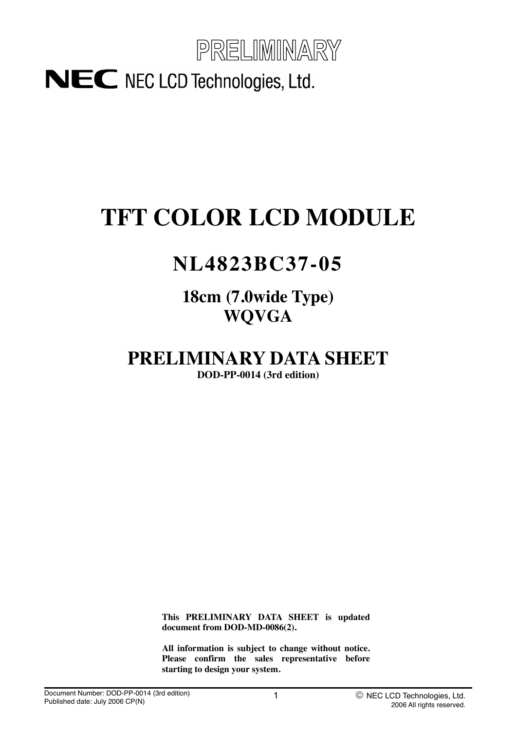

# **TFT COLOR LCD MODULE**

# **NL4823BC37-05**

**18cm (7.0wide Type) WQVGA**

# **PRELIMINARY DATA SHEET**

**DOD-PP-0014 (3rd edition)** 

**This PRELIMINARY DATA SHEET is updated document from DOD-MD-0086(2).** 

**All information is subject to change without notice. Please confirm the sales representative before starting to design your system.**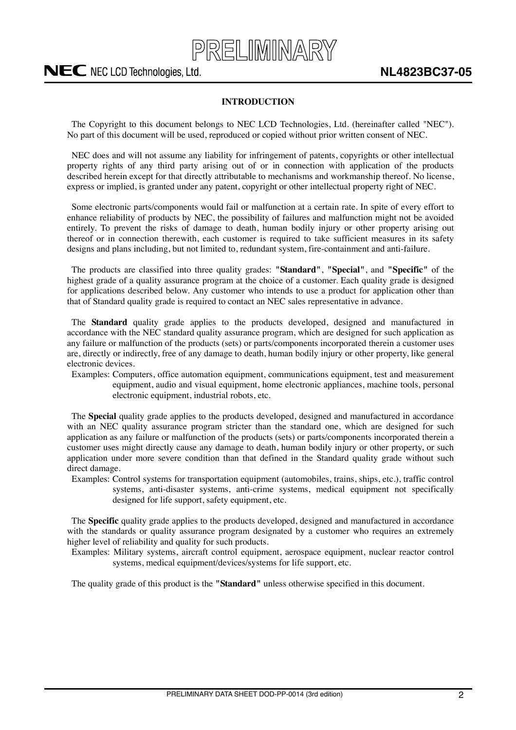

### <span id="page-1-0"></span>**INTRODUCTION**

The Copyright to this document belongs to NEC LCD Technologies, Ltd. (hereinafter called "NEC"). No part of this document will be used, reproduced or copied without prior written consent of NEC.

NEC does and will not assume any liability for infringement of patents, copyrights or other intellectual property rights of any third party arising out of or in connection with application of the products described herein except for that directly attributable to mechanisms and workmanship thereof. No license, express or implied, is granted under any patent, copyright or other intellectual property right of NEC.

Some electronic parts/components would fail or malfunction at a certain rate. In spite of every effort to enhance reliability of products by NEC, the possibility of failures and malfunction might not be avoided entirely. To prevent the risks of damage to death, human bodily injury or other property arising out thereof or in connection therewith, each customer is required to take sufficient measures in its safety designs and plans including, but not limited to, redundant system, fire-containment and anti-failure.

The products are classified into three quality grades: **"Standard"**, **"Special"**, and **"Specific"** of the highest grade of a quality assurance program at the choice of a customer. Each quality grade is designed for applications described below. Any customer who intends to use a product for application other than that of Standard quality grade is required to contact an NEC sales representative in advance.

The **Standard** quality grade applies to the products developed, designed and manufactured in accordance with the NEC standard quality assurance program, which are designed for such application as any failure or malfunction of the products (sets) or parts/components incorporated therein a customer uses are, directly or indirectly, free of any damage to death, human bodily injury or other property, like general electronic devices.

Examples: Computers, office automation equipment, communications equipment, test and measurement equipment, audio and visual equipment, home electronic appliances, machine tools, personal electronic equipment, industrial robots, etc.

The **Special** quality grade applies to the products developed, designed and manufactured in accordance with an NEC quality assurance program stricter than the standard one, which are designed for such application as any failure or malfunction of the products (sets) or parts/components incorporated therein a customer uses might directly cause any damage to death, human bodily injury or other property, or such application under more severe condition than that defined in the Standard quality grade without such direct damage.

Examples: Control systems for transportation equipment (automobiles, trains, ships, etc.), traffic control systems, anti-disaster systems, anti-crime systems, medical equipment not specifically designed for life support, safety equipment, etc.

The **Specific** quality grade applies to the products developed, designed and manufactured in accordance with the standards or quality assurance program designated by a customer who requires an extremely higher level of reliability and quality for such products.

Examples: Military systems, aircraft control equipment, aerospace equipment, nuclear reactor control systems, medical equipment/devices/systems for life support, etc.

The quality grade of this product is the **"Standard"** unless otherwise specified in this document.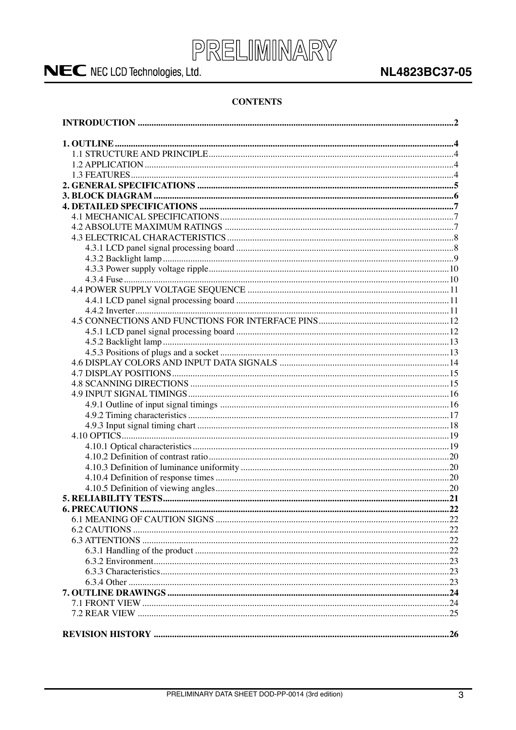

### NL4823BC37-05

### **CONTENTS**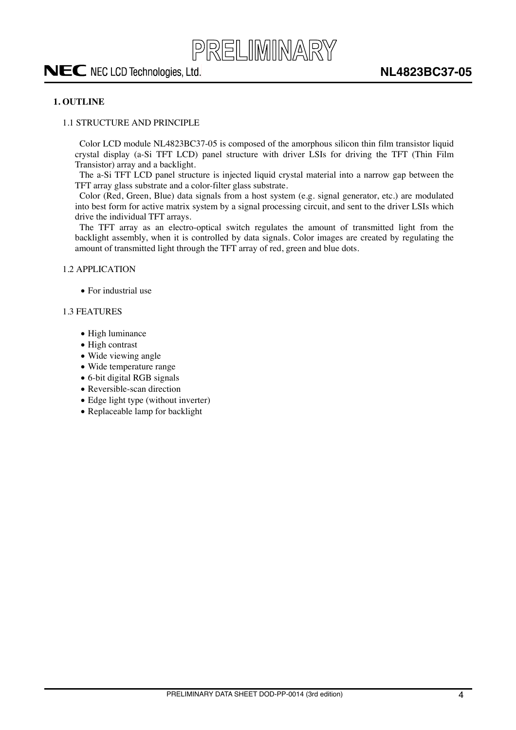### <span id="page-3-0"></span>**1. OUTLINE**

### <span id="page-3-1"></span>1.1 STRUCTURE AND PRINCIPLE

Color LCD module NL4823BC37-05 is composed of the amorphous silicon thin film transistor liquid crystal display (a-Si TFT LCD) panel structure with driver LSIs for driving the TFT (Thin Film Transistor) array and a backlight.

The a-Si TFT LCD panel structure is injected liquid crystal material into a narrow gap between the TFT array glass substrate and a color-filter glass substrate.

Color (Red, Green, Blue) data signals from a host system (e.g. signal generator, etc.) are modulated into best form for active matrix system by a signal processing circuit, and sent to the driver LSIs which drive the individual TFT arrays.

The TFT array as an electro-optical switch regulates the amount of transmitted light from the backlight assembly, when it is controlled by data signals. Color images are created by regulating the amount of transmitted light through the TFT array of red, green and blue dots.

### <span id="page-3-2"></span>1.2 APPLICATION

 $\bullet$  For industrial use

### <span id="page-3-3"></span>1.3 FEATURES

- $\bullet$  High luminance
- High contrast
- Wide viewing angle
- Wide temperature range
- $\bullet$  6-bit digital RGB signals
- Reversible-scan direction
- Edge light type (without inverter)
- Replaceable lamp for backlight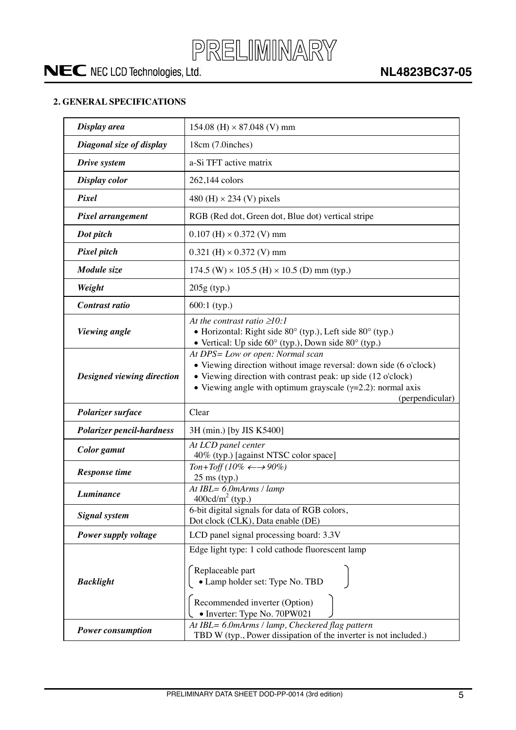

### <span id="page-4-0"></span>**2. GENERAL SPECIFICATIONS**

| Display area               | 154.08 (H) $\times$ 87.048 (V) mm                                                                                                                                                                                                                          |
|----------------------------|------------------------------------------------------------------------------------------------------------------------------------------------------------------------------------------------------------------------------------------------------------|
| Diagonal size of display   | 18cm (7.0inches)                                                                                                                                                                                                                                           |
| Drive system               | a-Si TFT active matrix                                                                                                                                                                                                                                     |
| Display color              | 262,144 colors                                                                                                                                                                                                                                             |
| Pixel                      | 480 (H) $\times$ 234 (V) pixels                                                                                                                                                                                                                            |
| Pixel arrangement          | RGB (Red dot, Green dot, Blue dot) vertical stripe                                                                                                                                                                                                         |
| Dot pitch                  | $0.107$ (H) $\times$ 0.372 (V) mm                                                                                                                                                                                                                          |
| Pixel pitch                | $0.321$ (H) $\times$ 0.372 (V) mm                                                                                                                                                                                                                          |
| Module size                | $174.5$ (W) $\times$ 105.5 (H) $\times$ 10.5 (D) mm (typ.)                                                                                                                                                                                                 |
| Weight                     | $205g$ (typ.)                                                                                                                                                                                                                                              |
| Contrast ratio             | $600:1$ (typ.)                                                                                                                                                                                                                                             |
| <b>Viewing</b> angle       | At the contrast ratio $\geq 10:1$<br>• Horizontal: Right side 80° (typ.), Left side 80° (typ.)<br>• Vertical: Up side $60^{\circ}$ (typ.), Down side $80^{\circ}$ (typ.)                                                                                   |
| Designed viewing direction | At DPS= Low or open: Normal scan<br>• Viewing direction without image reversal: down side (6 o'clock)<br>• Viewing direction with contrast peak: up side (12 o'clock)<br>• Viewing angle with optimum grayscale $(y=2.2)$ : normal axis<br>(perpendicular) |
|                            |                                                                                                                                                                                                                                                            |
| Polarizer surface          | Clear                                                                                                                                                                                                                                                      |
| Polarizer pencil-hardness  | 3H (min.) [by JIS K5400]                                                                                                                                                                                                                                   |
| Color gamut                | At LCD panel center<br>40% (typ.) [against NTSC color space]                                                                                                                                                                                               |
| <b>Response time</b>       | Ton+Toff (10% $\leftarrow \rightarrow 90\%$ )<br>$25$ ms (typ.)                                                                                                                                                                                            |
| <b>Luminance</b>           | At $IBL = 6.0$ mArms / lamp<br>$400 \text{cd/m}^2$ (typ.)                                                                                                                                                                                                  |
| <b>Signal system</b>       | 6-bit digital signals for data of RGB colors,<br>Dot clock (CLK), Data enable (DE)                                                                                                                                                                         |
| Power supply voltage       | LCD panel signal processing board: 3.3V                                                                                                                                                                                                                    |
| <b>Backlight</b>           | Edge light type: 1 cold cathode fluorescent lamp<br>Replaceable part<br>· Lamp holder set: Type No. TBD<br>Recommended inverter (Option)<br>• Inverter: Type No. 70PW021<br>At IBL= 6.0mArms / lamp, Checkered flag pattern                                |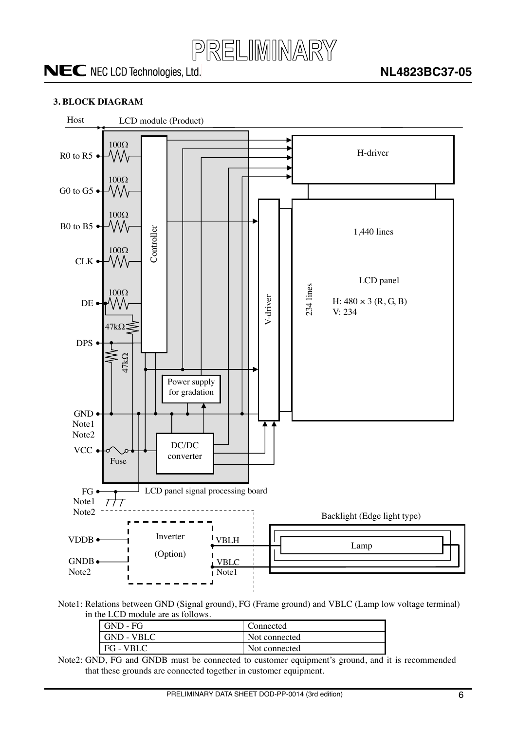

### <span id="page-5-0"></span>**3. BLOCK DIAGRAM**



Note1: Relations between GND (Signal ground), FG (Frame ground) and VBLC (Lamp low voltage terminal) in the LCD module are as follows.

| GND - FG          | Connected     |
|-------------------|---------------|
| <b>GND - VBLC</b> | Not connected |
| <b>FG</b> - VBLC  | Not connected |

Note2: GND, FG and GNDB must be connected to customer equipment's ground, and it is recommended that these grounds are connected together in customer equipment.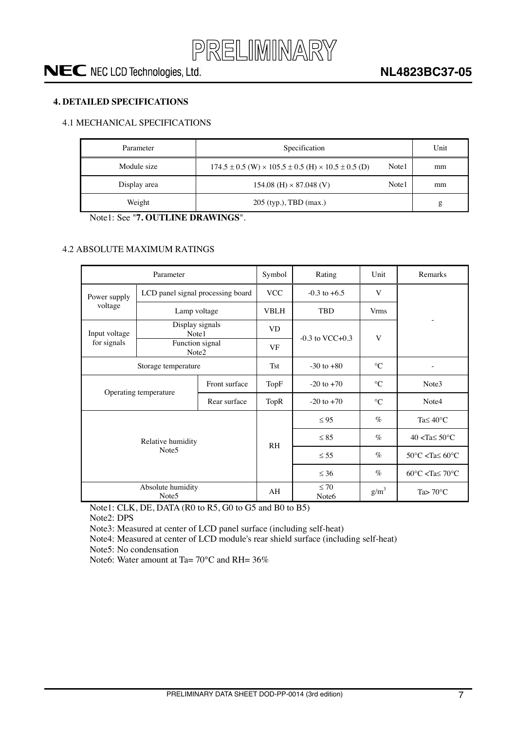

### <span id="page-6-0"></span>**4. DETAILED SPECIFICATIONS**

### <span id="page-6-1"></span>4.1 MECHANICAL SPECIFICATIONS

| Parameter    | Specification                                                            |       | Unit |
|--------------|--------------------------------------------------------------------------|-------|------|
| Module size  | $174.5 \pm 0.5$ (W) $\times 105.5 \pm 0.5$ (H) $\times 10.5 \pm 0.5$ (D) | Note1 | mm   |
| Display area | $154.08$ (H) $\times$ 87.048 (V)                                         | Note1 | mm   |
| Weight       | 205 (typ.), TBD (max.)                                                   |       | g    |

Note1: See "**7. OUTLINE DRAWINGS**".

### <span id="page-6-2"></span>4.2 ABSOLUTE MAXIMUM RATINGS

|               | Parameter                              |              | Symbol         | Rating                            | Unit        | Remarks                                            |
|---------------|----------------------------------------|--------------|----------------|-----------------------------------|-------------|----------------------------------------------------|
| Power supply  | LCD panel signal processing board      |              | <b>VCC</b>     | $-0.3$ to $+6.5$                  | V           |                                                    |
| voltage       | Lamp voltage                           |              | <b>VBLH</b>    | <b>TBD</b>                        | <b>Vrms</b> |                                                    |
| Input voltage | Display signals<br>Note1               |              | <b>VD</b>      |                                   |             |                                                    |
| for signals   | Function signal<br>Note2               |              | VF             | $-0.3$ to VCC $+0.3$              | V           |                                                    |
|               | Storage temperature                    | <b>Tst</b>   | $-30$ to $+80$ | $\circ$ C                         |             |                                                    |
| Front surface |                                        |              | TopF           | $-20$ to $+70$<br>$\rm ^{\circ}C$ |             | Note3                                              |
|               | Operating temperature                  | Rear surface | TopR           | $-20$ to $+70$                    | $\circ$ C   | Note4                                              |
|               |                                        |              |                | $\leq$ 95                         | $\%$        | Ta $\leq 40^{\circ}$ C                             |
|               | Relative humidity                      |              | RH             | $\leq 85$                         | $\%$        | $40 <$ Ta $\leq 50$ °C                             |
|               | Note <sub>5</sub>                      |              |                | $\leq 55$                         | $\%$        | $50^{\circ}$ C <ta<math>\leq 60^{\circ}C</ta<math> |
|               |                                        |              |                | $\leq 36$                         | $\%$        | $60^{\circ}$ C <ta<math>\leq 70^{\circ}C</ta<math> |
|               | Absolute humidity<br>Note <sub>5</sub> |              | AH             | $\leq 70$<br>Note <sub>6</sub>    | $g/m^3$     | Ta $> 70^{\circ}$ C                                |

Note1: CLK, DE, DATA (R0 to R5, G0 to G5 and B0 to B5)

Note2: DPS

Note3: Measured at center of LCD panel surface (including self-heat)

Note4: Measured at center of LCD module's rear shield surface (including self-heat)

Note5: No condensation

Note6: Water amount at Ta= 70<sup>o</sup>C and RH= 36\%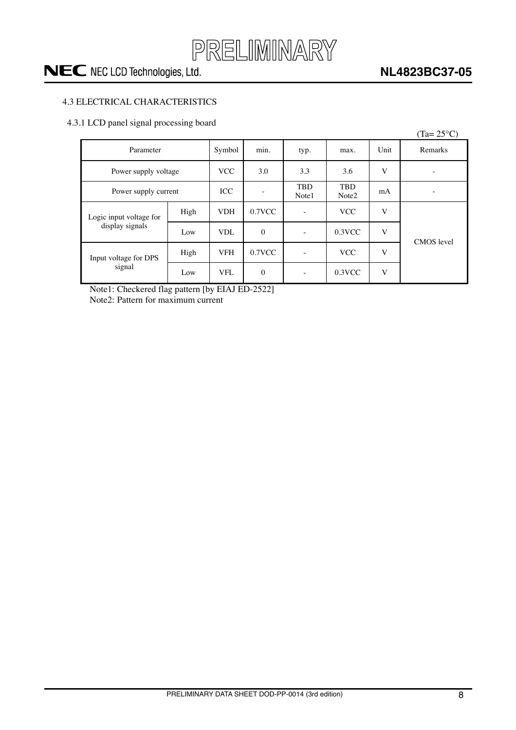

### **NL4823BC37-05**

### <span id="page-7-0"></span>4.3 ELECTRICAL CHARACTERISTICS

<span id="page-7-1"></span>4.3.1 LCD panel signal processing board

|                         |            |            |                     |                                 |            |         | $(Ta=25^{\circ}C)$ |
|-------------------------|------------|------------|---------------------|---------------------------------|------------|---------|--------------------|
| Parameter               | Symbol     | min.       | typ.                | max.                            | Unit       | Remarks |                    |
| Power supply voltage    | <b>VCC</b> | 3.0        | 3.3                 | 3.6                             | V          |         |                    |
| Power supply current    | ICC        |            | <b>TBD</b><br>Note1 | <b>TBD</b><br>Note <sub>2</sub> | mA         |         |                    |
| Logic input voltage for | High       | <b>VDH</b> | $0.7$ VCC           |                                 | <b>VCC</b> | V       |                    |
| display signals         | Low        | <b>VDL</b> | $\theta$            |                                 | $0.3$ VCC  | V       | <b>CMOS</b> level  |
| Input voltage for DPS   | High       | <b>VFH</b> | $0.7$ VCC           |                                 | <b>VCC</b> | V       |                    |
| signal                  | Low        | <b>VFL</b> | $\mathbf{0}$        |                                 | $0.3$ VCC  | V       |                    |

Note1: Checkered flag pattern [by EIAJ ED-2522] Note2: Pattern for maximum current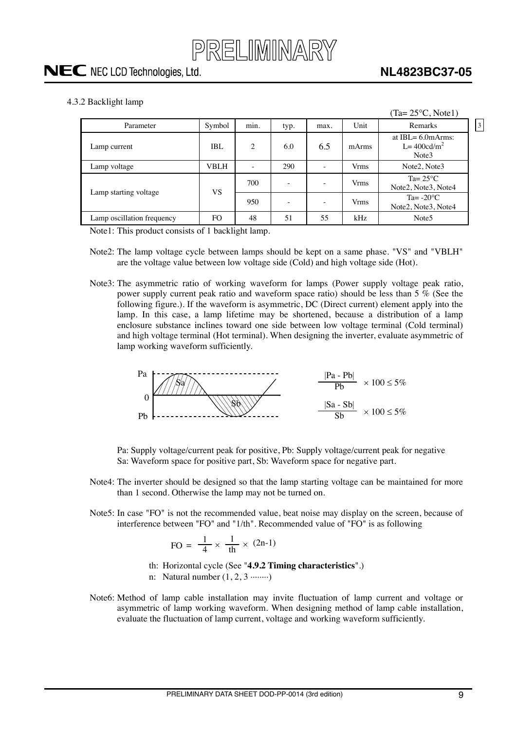

 $QFQQ$ ,  $M \neq 1$ )

<span id="page-8-0"></span> $\sqrt{3}$ 

4.3.2 Backlight lamp

|                            |        |                |      |                          |             | $1a=23^{\circ}$ C, NOICI)                             |
|----------------------------|--------|----------------|------|--------------------------|-------------|-------------------------------------------------------|
| Parameter                  | Symbol | min.           | typ. | max.                     | Unit        | Remarks                                               |
| Lamp current               | IBL    | $\overline{c}$ | 6.0  | 6.5                      | mArms       | at $IBL = 6.0$ m $Arms$ :<br>$L = 400cd/m^2$<br>Note3 |
| Lamp voltage               | VBLH   |                | 290  | ۰                        | <b>Vrms</b> | Note2, Note3                                          |
|                            | VS     | 700            |      | $\overline{\phantom{a}}$ | <b>Vrms</b> | Ta= $25^{\circ}$ C<br>Note2, Note3, Note4             |
| Lamp starting voltage      |        | 950            |      | $\overline{\phantom{a}}$ | <b>Vrms</b> | $Ta = -20$ °C<br>Note2, Note3, Note4                  |
| Lamp oscillation frequency | FO.    | 48             | 51   | 55                       | kHz         | Note <sub>5</sub>                                     |

Note1: This product consists of 1 backlight lamp.

- Note2: The lamp voltage cycle between lamps should be kept on a same phase. "VS" and "VBLH" are the voltage value between low voltage side (Cold) and high voltage side (Hot).
- Note3: The asymmetric ratio of working waveform for lamps (Power supply voltage peak ratio, power supply current peak ratio and waveform space ratio) should be less than 5 % (See the following figure.). If the waveform is asymmetric, DC (Direct current) element apply into the lamp. In this case, a lamp lifetime may be shortened, because a distribution of a lamp enclosure substance inclines toward one side between low voltage terminal (Cold terminal) and high voltage terminal (Hot terminal). When designing the inverter, evaluate asymmetric of lamp working waveform sufficiently.



Pa: Supply voltage/current peak for positive, Pb: Supply voltage/current peak for negative Sa: Waveform space for positive part, Sb: Waveform space for negative part.

- Note4: The inverter should be designed so that the lamp starting voltage can be maintained for more than 1 second. Otherwise the lamp may not be turned on.
- Note5: In case "FO" is not the recommended value, beat noise may display on the screen, because of interference between "FO" and "1/th". Recommended value of "FO" is as following

$$
FO = \frac{1}{4} \times \frac{1}{th} \times (2n-1)
$$

th: Horizontal cycle (See "**4.9.2 Timing characteristics**".)

n: Natural number  $(1, 2, 3 \dots)$ 

Note6: Method of lamp cable installation may invite fluctuation of lamp current and voltage or asymmetric of lamp working waveform. When designing method of lamp cable installation, evaluate the fluctuation of lamp current, voltage and working waveform sufficiently.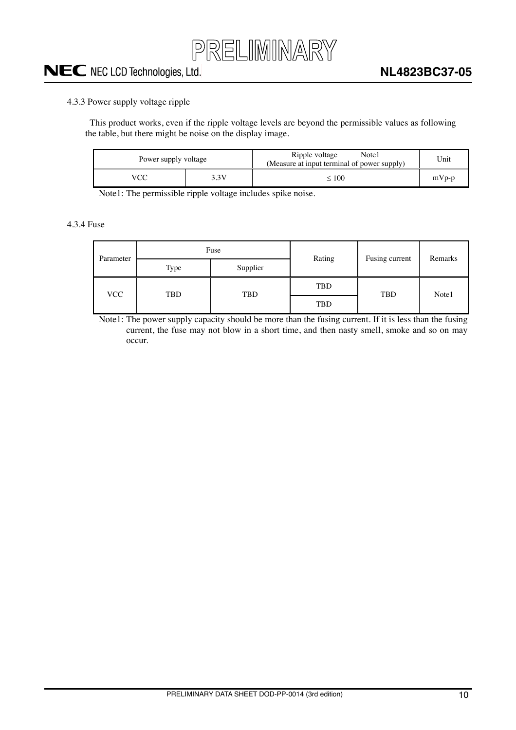

### <span id="page-9-0"></span>4.3.3 Power supply voltage ripple

This product works, even if the ripple voltage levels are beyond the permissible values as following the table, but there might be noise on the display image.

| Power supply voltage | Ripple voltage<br>Note1<br>(Measure at input terminal of power supply) | Unit    |
|----------------------|------------------------------------------------------------------------|---------|
|                      | ≤ 100                                                                  | $mVp-p$ |

Note1: The permissible ripple voltage includes spike noise.

<span id="page-9-1"></span>4.3.4 Fuse

| Parameter        |                   | Fuse | Rating | Fusing current | Remarks |  |
|------------------|-------------------|------|--------|----------------|---------|--|
| Supplier<br>Type |                   |      |        |                |         |  |
| <b>VCC</b>       |                   |      | TBD    | <b>TBD</b>     |         |  |
|                  | TBD<br><b>TBD</b> |      | TBD    |                | Note1   |  |

Note1: The power supply capacity should be more than the fusing current. If it is less than the fusing current, the fuse may not blow in a short time, and then nasty smell, smoke and so on may occur.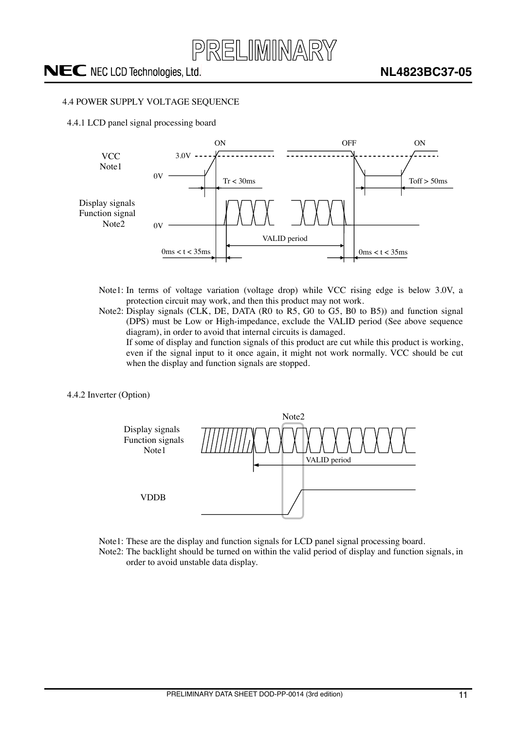

### <span id="page-10-0"></span>4.4 POWER SUPPLY VOLTAGE SEQUENCE

<span id="page-10-1"></span>4.4.1 LCD panel signal processing board



- Note1: In terms of voltage variation (voltage drop) while VCC rising edge is below 3.0V, a protection circuit may work, and then this product may not work.
- Note2: Display signals (CLK, DE, DATA (R0 to R5, G0 to G5, B0 to B5)) and function signal (DPS) must be Low or High-impedance, exclude the VALID period (See above sequence diagram), in order to avoid that internal circuits is damaged.

If some of display and function signals of this product are cut while this product is working, even if the signal input to it once again, it might not work normally. VCC should be cut when the display and function signals are stopped.

<span id="page-10-2"></span>4.4.2 Inverter (Option)



Note1: These are the display and function signals for LCD panel signal processing board. Note2: The backlight should be turned on within the valid period of display and function signals, in order to avoid unstable data display.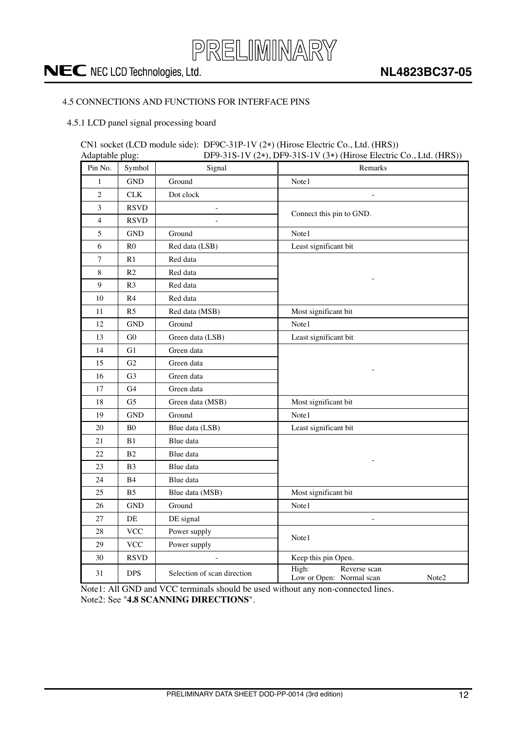

### <span id="page-11-0"></span>4.5 CONNECTIONS AND FUNCTIONS FOR INTERFACE PINS

<span id="page-11-1"></span>4.5.1 LCD panel signal processing board

CN1 socket (LCD module side): DF9C-31P-1V (2 ) (Hirose Electric Co., Ltd. (HRS))

| Adaptable plug: |                           |                             | DF9-31S-1V (2*), DF9-31S-1V (3*) (Hirose Electric Co., Ltd. (HRS))     |
|-----------------|---------------------------|-----------------------------|------------------------------------------------------------------------|
| Pin No.         | Symbol                    | Signal                      | Remarks                                                                |
| $\mathbf{1}$    | <b>GND</b>                | Ground                      | Note1                                                                  |
| $\overline{c}$  | CLK                       | Dot clock                   |                                                                        |
| $\overline{3}$  | <b>RSVD</b>               |                             | Connect this pin to GND.                                               |
| $\overline{4}$  | <b>RSVD</b>               |                             |                                                                        |
| 5               | <b>GND</b>                | Ground                      | Note1                                                                  |
| 6               | R <sub>0</sub>            | Red data (LSB)              | Least significant bit                                                  |
| $\overline{7}$  | R <sub>1</sub>            | Red data                    |                                                                        |
| $8\,$           | R <sub>2</sub>            | Red data                    |                                                                        |
| 9               | R3                        | Red data                    |                                                                        |
| 10              | R4                        | Red data                    |                                                                        |
| 11              | R <sub>5</sub>            | Red data (MSB)              | Most significant bit                                                   |
| 12              | <b>GND</b>                | Ground                      | Note1                                                                  |
| 13              | G <sub>0</sub>            | Green data (LSB)            | Least significant bit                                                  |
| 14              | G <sub>1</sub>            | Green data                  |                                                                        |
| 15              | G2                        | Green data                  |                                                                        |
| 16              | G <sub>3</sub>            | Green data                  |                                                                        |
| 17              | G4                        | Green data                  |                                                                        |
| 18              | G5                        | Green data (MSB)            | Most significant bit                                                   |
| 19              | <b>GND</b>                | Ground                      | Note1                                                                  |
| 20              | B <sub>0</sub>            | Blue data (LSB)             | Least significant bit                                                  |
| 21              | B1                        | Blue data                   |                                                                        |
| 22              | B <sub>2</sub>            | Blue data                   |                                                                        |
| 23              | B <sub>3</sub>            | Blue data                   |                                                                        |
| 24              | <b>B4</b>                 | Blue data                   |                                                                        |
| 25              | B <sub>5</sub>            | Blue data (MSB)             | Most significant bit                                                   |
| 26              | <b>GND</b>                | Ground                      | Note1                                                                  |
| 27              | DE                        | DE signal                   | $\overline{\phantom{a}}$                                               |
| 28              | $\ensuremath{\text{VCC}}$ | Power supply                | Note1                                                                  |
| 29              | <b>VCC</b>                | Power supply                |                                                                        |
| 30              | <b>RSVD</b>               |                             | Keep this pin Open.                                                    |
| 31              | <b>DPS</b>                | Selection of scan direction | High:<br>Reverse scan<br>Low or Open: Normal scan<br>Note <sub>2</sub> |

Note1: All GND and VCC terminals should be used without any non-connected lines. Note2: See "**4.8 SCANNING DIRECTIONS**".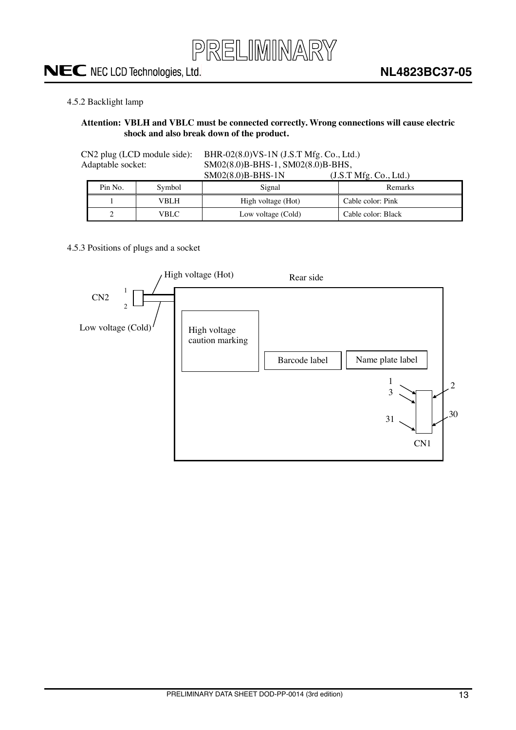

### <span id="page-12-0"></span>4.5.2 Backlight lamp

### **Attention: VBLH and VBLC must be connected correctly. Wrong connections will cause electric shock and also break down of the product.**

CN2 plug (LCD module side): BHR-02(8.0)VS-1N (J.S.T Mfg. Co., Ltd.) Adaptable socket:  $\frac{\text{SM02}(8.0) \text{B-BHS}}{\text{SM02}(8.0) \text{B-BHS}}$ ,  $\frac{\text{SM02}(8.0) \text{B-BHS}}{\text{SM02}(8.0) \text{B-BHS}}$ ,  $\frac{\text{GM02}(8.0) \text{B-BHS}}{\text{GM02}(8.0) \text{B-BHS}}$  $SMO(2)$   $\Omega$   $\Omega$  BHS  $1$ N

|         |        | <b>DIVIUZIO.UJD-DITO-IIN</b> | $(3.5.1 \text{ MHz}, \text{CO}, \text{L}(\text{U}))$ |
|---------|--------|------------------------------|------------------------------------------------------|
| Pin No. | Symbol | Signal                       | <b>Remarks</b>                                       |
|         | VBLH.  | High voltage (Hot)           | Cable color: Pink                                    |
|         | VBLC   | Low voltage (Cold)           | Cable color: Black                                   |

### <span id="page-12-1"></span>4.5.3 Positions of plugs and a socket

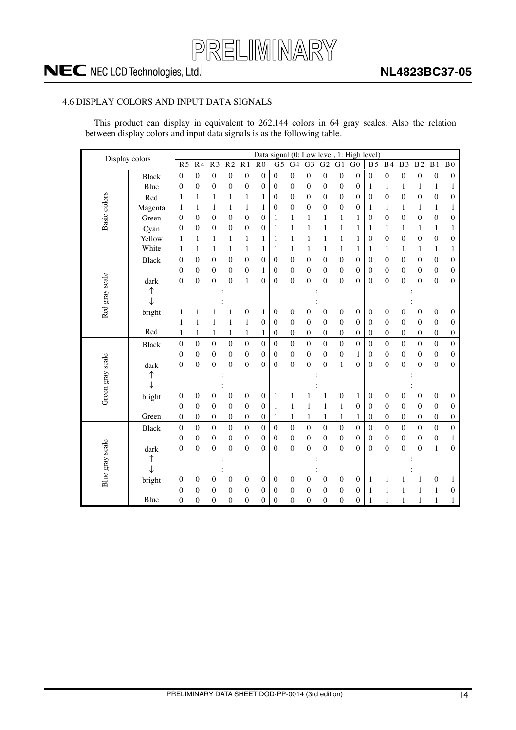

### <span id="page-13-0"></span>4.6 DISPLAY COLORS AND INPUT DATA SIGNALS

This product can display in equivalent to 262,144 colors in 64 gray scales. Also the relation between display colors and input data signals is as the following table.

| Display colors   |              |                  |                  |                  |                  |                  |                  |                  |                  |                  |                  |                  | Data signal (0: Low level, 1: High level) |                  |                  |                  |                  |                  |                  |
|------------------|--------------|------------------|------------------|------------------|------------------|------------------|------------------|------------------|------------------|------------------|------------------|------------------|-------------------------------------------|------------------|------------------|------------------|------------------|------------------|------------------|
|                  |              | R <sub>5</sub>   | R <sub>4</sub>   | R <sub>3</sub>   | R <sub>2</sub>   | R <sub>1</sub>   | R <sub>0</sub>   | $\overline{G5}$  | G <sub>4</sub>   | G <sub>3</sub>   | G <sub>2</sub>   | G1               | G <sub>0</sub>                            | B <sub>5</sub>   | B <sub>4</sub>   | B3               | B <sub>2</sub>   | B <sub>1</sub>   | B <sub>0</sub>   |
|                  | <b>Black</b> | $\mathbf{0}$     | $\boldsymbol{0}$ | $\overline{0}$   | $\mathbf{0}$     | $\mathbf{0}$     | $\mathbf{0}$     | $\mathbf{0}$     | $\overline{0}$   | $\overline{0}$   | $\overline{0}$   | $\overline{0}$   | $\overline{0}$                            | $\mathbf{0}$     | $\mathbf{0}$     | $\overline{0}$   | $\overline{0}$   | $\overline{0}$   | $\boldsymbol{0}$ |
|                  | Blue         | $\boldsymbol{0}$ | $\boldsymbol{0}$ | $\boldsymbol{0}$ | $\boldsymbol{0}$ | $\boldsymbol{0}$ | $\boldsymbol{0}$ | $\boldsymbol{0}$ | $\boldsymbol{0}$ | $\boldsymbol{0}$ | $\boldsymbol{0}$ | $\boldsymbol{0}$ | $\boldsymbol{0}$                          | $\mathbf{1}$     | $\mathbf{1}$     | $\mathbf{1}$     | 1                | $\,1$            | 1                |
|                  | Red          | 1                | 1                | 1                | $\mathbf{1}$     | 1                | 1                | $\mathbf{0}$     | $\boldsymbol{0}$ | $\mathbf{0}$     | $\boldsymbol{0}$ | $\boldsymbol{0}$ | $\mathbf{0}$                              | $\mathbf{0}$     | $\boldsymbol{0}$ | $\boldsymbol{0}$ | $\boldsymbol{0}$ | $\boldsymbol{0}$ | $\boldsymbol{0}$ |
|                  | Magenta      | 1                | 1                | $\mathbf{1}$     | $\mathbf{1}$     | $\mathbf{1}$     | 1                | $\mathbf{0}$     | $\mathbf{0}$     | $\mathbf{0}$     | $\boldsymbol{0}$ | $\overline{0}$   | $\overline{0}$                            | 1                | 1                | $\mathbf{1}$     | 1                | $\mathbf{1}$     | 1                |
| Basic colors     | Green        | $\boldsymbol{0}$ | $\boldsymbol{0}$ | $\boldsymbol{0}$ | 0                | $\boldsymbol{0}$ | $\boldsymbol{0}$ | $\mathbf{1}$     | $\mathbf{1}$     | 1                | $\mathbf{1}$     | $\mathbf{1}$     | 1                                         | $\boldsymbol{0}$ | $\boldsymbol{0}$ | $\boldsymbol{0}$ | $\boldsymbol{0}$ | $\boldsymbol{0}$ | $\boldsymbol{0}$ |
|                  | Cyan         | $\mathbf{0}$     | $\mathbf{0}$     | $\boldsymbol{0}$ | 0                | 0                | 0                | $\mathbf{1}$     | $\mathbf{1}$     | 1                | $\mathbf{1}$     | 1                | 1                                         | 1                | $\mathbf{1}$     | $\mathbf{1}$     | 1                | $\mathbf{1}$     | 1                |
|                  | Yellow       | 1                | 1                | 1                | 1                | 1                | 1                | 1                | $\mathbf{1}$     | 1                | $\mathbf{1}$     | $\mathbf{1}$     | 1                                         | $\mathbf{0}$     | $\overline{0}$   | $\boldsymbol{0}$ | $\overline{0}$   | $\boldsymbol{0}$ | $\boldsymbol{0}$ |
|                  | White        | 1                | 1                | 1                | 1                | 1                | $\mathbf{1}$     | 1                | $\mathbf{1}$     | 1                | $\mathbf{1}$     | $\mathbf{1}$     | 1                                         | 1                | 1                | $\mathbf{1}$     | 1                | $\mathbf{1}$     | 1                |
|                  | <b>Black</b> | $\mathbf{0}$     | $\mathbf{0}$     | $\boldsymbol{0}$ | $\boldsymbol{0}$ | $\boldsymbol{0}$ | $\mathbf{0}$     | $\boldsymbol{0}$ | $\mathbf{0}$     | $\boldsymbol{0}$ | $\boldsymbol{0}$ | $\boldsymbol{0}$ | $\boldsymbol{0}$                          | $\mathbf{0}$     | $\boldsymbol{0}$ | $\boldsymbol{0}$ | $\boldsymbol{0}$ | $\mathbf 0$      | $\boldsymbol{0}$ |
|                  |              | $\mathbf{0}$     | 0                | $\boldsymbol{0}$ | 0                | $\boldsymbol{0}$ | 1                | $\mathbf{0}$     | $\boldsymbol{0}$ | $\mathbf{0}$     | $\boldsymbol{0}$ | $\boldsymbol{0}$ | $\boldsymbol{0}$                          | $\boldsymbol{0}$ | $\boldsymbol{0}$ | $\boldsymbol{0}$ | $\boldsymbol{0}$ | $\boldsymbol{0}$ | $\boldsymbol{0}$ |
|                  | dark         | $\mathbf{0}$     | $\mathbf{0}$     | $\boldsymbol{0}$ | $\overline{0}$   | $\mathbf{1}$     | $\mathbf{0}$     | $\mathbf{0}$     | $\mathbf{0}$     | $\boldsymbol{0}$ | $\overline{0}$   | $\overline{0}$   | $\overline{0}$                            | $\mathbf{0}$     | $\mathbf{0}$     | $\overline{0}$   | $\mathbf{0}$     | $\boldsymbol{0}$ | $\boldsymbol{0}$ |
| Red gray scale   | ↑            |                  |                  |                  |                  |                  |                  |                  |                  |                  |                  |                  |                                           |                  |                  |                  |                  |                  |                  |
|                  | ↓            |                  |                  |                  |                  |                  |                  |                  |                  |                  |                  |                  |                                           |                  |                  |                  |                  |                  |                  |
|                  | bright       | 1                | 1                | 1                | 1                | $\boldsymbol{0}$ | 1                | $\boldsymbol{0}$ | $\boldsymbol{0}$ | 0                | $\boldsymbol{0}$ | $\boldsymbol{0}$ | $\boldsymbol{0}$                          | $\boldsymbol{0}$ | $\boldsymbol{0}$ | $\boldsymbol{0}$ | $\boldsymbol{0}$ | $\boldsymbol{0}$ | $\boldsymbol{0}$ |
|                  |              | $\mathbf{1}$     | $\mathbf{1}$     | 1                | $\mathbf{1}$     | $\mathbf{1}$     | $\mathbf{0}$     | $\boldsymbol{0}$ | $\boldsymbol{0}$ | $\boldsymbol{0}$ | $\boldsymbol{0}$ | $\boldsymbol{0}$ | $\boldsymbol{0}$                          | $\boldsymbol{0}$ | $\boldsymbol{0}$ | $\boldsymbol{0}$ | $\boldsymbol{0}$ | $\boldsymbol{0}$ | $\boldsymbol{0}$ |
|                  | Red          | 1                | $\mathbf{1}$     | $\mathbf{1}$     | $\mathbf{1}$     | $\mathbf{1}$     | 1                | $\boldsymbol{0}$ | $\boldsymbol{0}$ | $\boldsymbol{0}$ | $\boldsymbol{0}$ | $\boldsymbol{0}$ | $\boldsymbol{0}$                          | $\boldsymbol{0}$ | $\boldsymbol{0}$ | $\boldsymbol{0}$ | $\boldsymbol{0}$ | $\boldsymbol{0}$ | $\boldsymbol{0}$ |
|                  | <b>Black</b> | $\boldsymbol{0}$ | $\mathbf{0}$     | $\mathbf{0}$     | $\mathbf{0}$     | $\boldsymbol{0}$ | $\boldsymbol{0}$ | $\boldsymbol{0}$ | $\overline{0}$   | $\boldsymbol{0}$ | $\overline{0}$   | $\overline{0}$   | $\overline{0}$                            | $\boldsymbol{0}$ | $\boldsymbol{0}$ | $\boldsymbol{0}$ | $\mathbf{0}$     | $\mathbf 0$      | $\boldsymbol{0}$ |
|                  |              | $\mathbf{0}$     | 0                | $\boldsymbol{0}$ | $\mathbf 0$      | $\boldsymbol{0}$ | $\mathbf{0}$     | $\boldsymbol{0}$ | $\boldsymbol{0}$ | $\mathbf{0}$     | $\boldsymbol{0}$ | $\boldsymbol{0}$ | 1                                         | $\mathbf{0}$     | $\boldsymbol{0}$ | $\boldsymbol{0}$ | $\boldsymbol{0}$ | $\boldsymbol{0}$ | $\boldsymbol{0}$ |
|                  | dark         | $\mathbf{0}$     | $\overline{0}$   | $\boldsymbol{0}$ | $\overline{0}$   | $\boldsymbol{0}$ | $\mathbf{0}$     | $\mathbf{0}$     | $\mathbf{0}$     | $\mathbf{0}$     | $\boldsymbol{0}$ | $\mathbf{1}$     | $\overline{0}$                            | $\mathbf{0}$     | $\boldsymbol{0}$ | $\boldsymbol{0}$ | $\overline{0}$   | $\boldsymbol{0}$ | $\boldsymbol{0}$ |
|                  | ↑            |                  |                  |                  |                  |                  |                  |                  |                  |                  |                  |                  |                                           |                  |                  |                  |                  |                  |                  |
| Green gray scale |              |                  |                  |                  |                  |                  |                  |                  |                  |                  |                  |                  |                                           |                  |                  |                  |                  |                  |                  |
|                  | bright       | $\boldsymbol{0}$ | $\boldsymbol{0}$ | $\boldsymbol{0}$ | $\mathbf 0$      | $\boldsymbol{0}$ | $\boldsymbol{0}$ | 1                | 1                | 1                | 1                | $\boldsymbol{0}$ | 1                                         | $\boldsymbol{0}$ | $\boldsymbol{0}$ | $\boldsymbol{0}$ | $\mathbf{0}$     | $\boldsymbol{0}$ | $\boldsymbol{0}$ |
|                  |              | $\mathbf{0}$     | $\mathbf{0}$     | $\boldsymbol{0}$ | $\mathbf 0$      | $\boldsymbol{0}$ | $\mathbf{0}$     | $\mathbf{1}$     | $\mathbf{1}$     | $\mathbf{1}$     | $\mathbf{1}$     | $\,1\,$          | $\boldsymbol{0}$                          | $\boldsymbol{0}$ | $\boldsymbol{0}$ | $\boldsymbol{0}$ | $\overline{0}$   | $\boldsymbol{0}$ | $\boldsymbol{0}$ |
|                  | Green        | $\mathbf{0}$     | 0                | $\boldsymbol{0}$ | 0                | $\boldsymbol{0}$ | $\boldsymbol{0}$ | 1                | 1                | 1                | $\mathbf{1}$     | 1                | 1                                         | $\boldsymbol{0}$ | $\boldsymbol{0}$ | $\boldsymbol{0}$ | $\boldsymbol{0}$ | $\boldsymbol{0}$ | $\boldsymbol{0}$ |
|                  | Black        | $\mathbf{0}$     | $\overline{0}$   | $\mathbf{0}$     | $\mathbf{0}$     | $\boldsymbol{0}$ | $\mathbf{0}$     | $\boldsymbol{0}$ | $\overline{0}$   | $\boldsymbol{0}$ | $\overline{0}$   | $\boldsymbol{0}$ | $\overline{0}$                            | $\boldsymbol{0}$ | $\mathbf{0}$     | $\boldsymbol{0}$ | $\overline{0}$   | $\mathbf 0$      | $\boldsymbol{0}$ |
|                  |              | $\boldsymbol{0}$ | $\boldsymbol{0}$ | $\boldsymbol{0}$ | $\boldsymbol{0}$ | $\boldsymbol{0}$ | $\boldsymbol{0}$ | $\boldsymbol{0}$ | $\boldsymbol{0}$ | $\boldsymbol{0}$ | $\boldsymbol{0}$ | $\boldsymbol{0}$ | $\boldsymbol{0}$                          | $\boldsymbol{0}$ | $\boldsymbol{0}$ | $\boldsymbol{0}$ | $\boldsymbol{0}$ | $\boldsymbol{0}$ | 1                |
|                  | dark         | $\mathbf{0}$     | $\mathbf{0}$     | $\boldsymbol{0}$ | $\overline{0}$   | $\mathbf{0}$     | $\mathbf{0}$     | $\overline{0}$   | $\mathbf{0}$     | $\overline{0}$   | $\mathbf{0}$     | $\boldsymbol{0}$ | $\overline{0}$                            | $\overline{0}$   | $\overline{0}$   | $\boldsymbol{0}$ | $\mathbf{0}$     | $\mathbf{1}$     | $\boldsymbol{0}$ |
|                  | ↑            |                  |                  |                  |                  |                  |                  |                  |                  |                  |                  |                  |                                           |                  |                  |                  |                  |                  |                  |
|                  | $\downarrow$ |                  |                  |                  |                  |                  |                  |                  |                  |                  |                  |                  |                                           |                  |                  |                  |                  |                  |                  |
| Blue gray scale  | bright       | $\boldsymbol{0}$ | 0                | $\boldsymbol{0}$ | 0                | $\boldsymbol{0}$ | $\boldsymbol{0}$ | $\boldsymbol{0}$ | $\boldsymbol{0}$ | 0                | $\boldsymbol{0}$ | $\boldsymbol{0}$ | $\boldsymbol{0}$                          | 1                | $\mathbf{1}$     | 1                | 1                | $\mathbf 0$      | 1                |
|                  |              | $\Omega$         | $\mathbf{0}$     | $\boldsymbol{0}$ | 0                | $\overline{0}$   | $\mathbf{0}$     | $\mathbf{0}$     | $\mathbf{0}$     | $\mathbf{0}$     | $\theta$         | $\mathbf{0}$     | $\overline{0}$                            | 1                | 1                | 1                | 1                | 1                | 0                |
|                  | Blue         | 0                | $\boldsymbol{0}$ | $\boldsymbol{0}$ | $\mathbf 0$      | $\boldsymbol{0}$ | $\boldsymbol{0}$ | $\boldsymbol{0}$ | $\boldsymbol{0}$ | $\mathbf{0}$     | $\boldsymbol{0}$ | $\boldsymbol{0}$ | $\boldsymbol{0}$                          | $\mathbf{1}$     | $\mathbf{1}$     | 1                | 1                | $\mathbf{1}$     | $\mathbf{1}$     |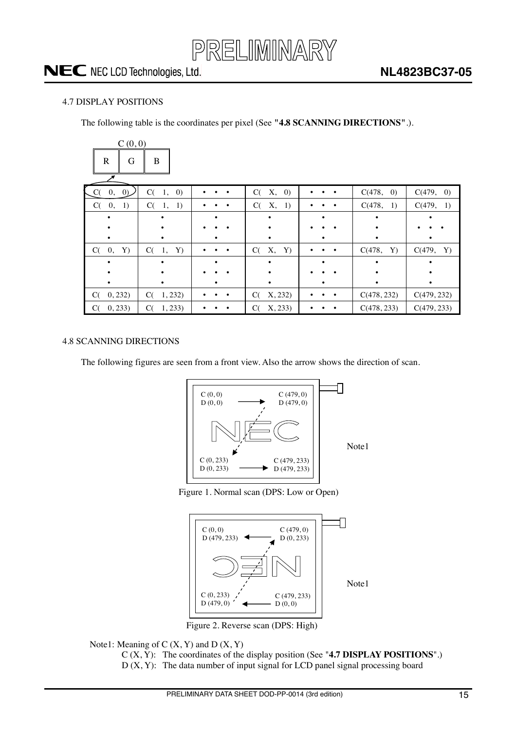

### <span id="page-14-0"></span>4.7 DISPLAY POSITIONS

The following table is the coordinates per pixel (See **"4.8 SCANNING DIRECTIONS"**.).

| C(0,0)           |                               |           |                               |   |                             |              |
|------------------|-------------------------------|-----------|-------------------------------|---|-----------------------------|--------------|
| $\mathbf R$<br>G | B                             |           |                               |   |                             |              |
| 0, 0)<br>C(      | C(<br>$\left( 0\right)$<br>1, |           | Χ,<br>$\left( 0\right)$<br>C( |   | C(478,<br>$\left( 0\right)$ | C(479, 0)    |
| C(<br>0,<br>1)   | $C(-1,$<br>-1)                |           | C(<br>X, 1)                   |   | C(478,<br>1)                | C(479, 1)    |
|                  |                               | $\bullet$ |                               | ٠ |                             |              |
|                  |                               |           |                               |   |                             |              |
|                  |                               |           |                               | ٠ |                             |              |
| C(<br>0,<br>Y)   | Y)<br>C(<br>1,                |           | X,<br>C(<br>Y)                | ٠ | C(478,<br>Y)                | C(479,<br>Y) |
|                  |                               | ٠         |                               |   |                             |              |
|                  |                               |           |                               |   |                             |              |
|                  |                               | ٠         | ٠                             |   |                             | ٠            |
| 0, 232)<br>C(    | 1,232)<br>C(                  |           | X, 232)<br>C(                 |   | C(478, 232)                 | C(479, 232)  |
| 0, 233)<br>C(    | 1,233<br>C(                   |           | X, 233)<br>C(                 |   | C(478, 233)                 | C(479, 233)  |

#### <span id="page-14-1"></span>4.8 SCANNING DIRECTIONS

The following figures are seen from a front view. Also the arrow shows the direction of scan.



Figure 1. Normal scan (DPS: Low or Open)



Figure 2. Reverse scan (DPS: High)

Note1: Meaning of  $C(X, Y)$  and  $D(X, Y)$ 

C (X, Y): The coordinates of the display position (See "**4.7 DISPLAY POSITIONS**".) D (X, Y): The data number of input signal for LCD panel signal processing board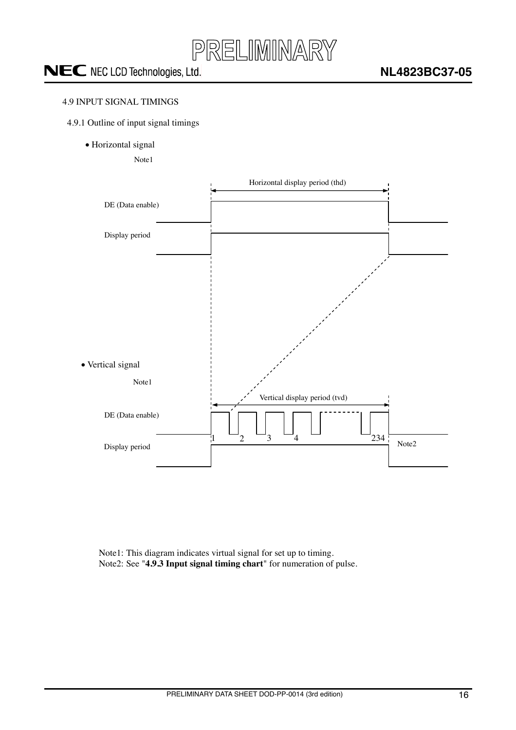

### <span id="page-15-0"></span>4.9 INPUT SIGNAL TIMINGS

- <span id="page-15-1"></span>4.9.1 Outline of input signal timings
	- · Horizontal signal

Note1



Note1: This diagram indicates virtual signal for set up to timing. Note2: See "**4.9.3 Input signal timing chart**" for numeration of pulse.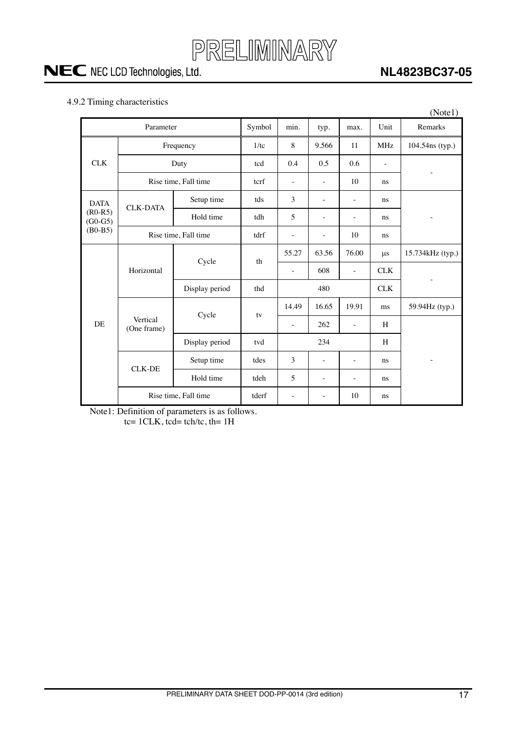

### **NL4823BC37-05**

### <span id="page-16-0"></span>4.9.2 Timing characteristics

| (Note1)                |                         |                |                          |                          |                          |                          |                 |                          |  |
|------------------------|-------------------------|----------------|--------------------------|--------------------------|--------------------------|--------------------------|-----------------|--------------------------|--|
|                        | Parameter               | Symbol         | min.                     | typ.                     | max.                     | Unit                     | Remarks         |                          |  |
| <b>CLK</b>             | Frequency               | 1/tc           | 8                        | 9.566                    | 11                       | <b>MHz</b>               | 104.54ns (typ.) |                          |  |
|                        | Duty                    | tcd            | 0.4                      | 0.5                      | 0.6                      | ÷,                       |                 |                          |  |
|                        | Rise time, Fall time    | tcrf           | $\bar{ }$                | L,                       | 10                       | ns                       |                 |                          |  |
| <b>DATA</b>            | <b>CLK-DATA</b>         | Setup time     | tds                      | 3                        | $\overline{\phantom{a}}$ | ÷,                       | ns              |                          |  |
| $(R0-R5)$<br>$(G0-G5)$ |                         | Hold time      | tdh                      | 5                        | $\overline{\phantom{a}}$ | ÷,                       | ns              |                          |  |
| $(B0-B5)$              | Rise time, Fall time    | tdrf           | $\bar{ }$                | ÷,                       | 10                       | ns                       |                 |                          |  |
|                        | Horizontal              | Cycle          | th                       | 55.27                    | 63.56                    | 76.00                    | $\mu$ s         | 15.734kHz (typ.)         |  |
|                        |                         |                |                          | $\overline{\phantom{0}}$ | 608                      | $\blacksquare$           | <b>CLK</b>      |                          |  |
|                        |                         | Display period | thd                      |                          | 480                      |                          | <b>CLK</b>      |                          |  |
|                        | Vertical<br>(One frame) | Cycle          | tv                       | 14.49                    | 16.65                    | 19.91                    | ms              | 59.94Hz (typ.)           |  |
| DE                     |                         |                |                          | $\bar{ }$                | 262                      | $\frac{1}{2}$            | H               |                          |  |
|                        |                         | Display period | tvd                      |                          | 234                      |                          | H               |                          |  |
|                        | CLK-DE                  | Setup time     | tdes                     | 3                        | $\qquad \qquad -$        | $\overline{\phantom{m}}$ | ns              | $\overline{\phantom{m}}$ |  |
|                        |                         | Hold time      | tdeh                     | 5                        | $\bar{\phantom{a}}$      | ÷                        | ns              |                          |  |
|                        | Rise time, Fall time    | tderf          | $\overline{\phantom{a}}$ | $\overline{\phantom{m}}$ | 10                       | ns                       |                 |                          |  |

Note1: Definition of parameters is as follows.  $tc= 1CLK$ ,  $tcd = tch/tc$ ,  $th= 1H$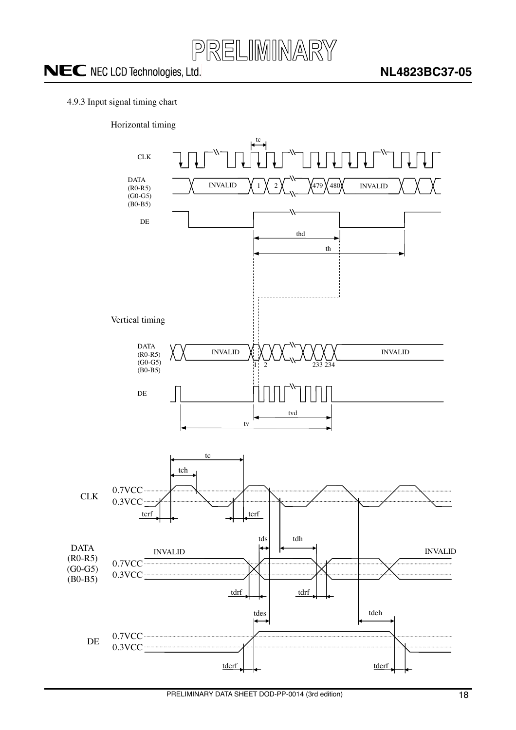

### <span id="page-17-0"></span>4.9.3 Input signal timing chart

Horizontal timing

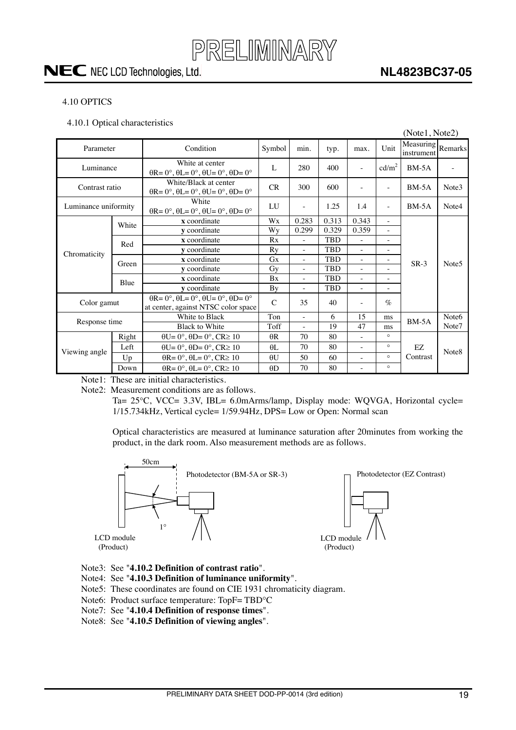

### **NL4823BC37-05**

### <span id="page-18-0"></span>4.10 OPTICS

<span id="page-18-1"></span>4.10.1 Optical characteristics

|                      |       |                                                                                                       |               |                          |            |                          |                          | (Note1, Note2)                  |                   |
|----------------------|-------|-------------------------------------------------------------------------------------------------------|---------------|--------------------------|------------|--------------------------|--------------------------|---------------------------------|-------------------|
| Parameter            |       | Condition                                                                                             | Symbol        | min.                     | typ.       | max.                     | Unit                     | Measuring Remarks<br>instrument |                   |
| Luminance            |       | White at center<br>$\theta$ R= 0°, $\theta$ L= 0°, $\theta$ U= 0°, $\theta$ D= 0°                     | $\mathbf{L}$  | 280                      | 400        | ÷                        | cd/m <sup>2</sup>        | $BM-5A$                         |                   |
| Contrast ratio       |       | White/Black at center<br>$\theta$ R= 0°, $\theta$ L= 0°, $\theta$ U= 0°, $\theta$ D= 0°               | <b>CR</b>     | 300                      | 600        | ÷,                       | $\overline{\phantom{a}}$ | $BM-5A$                         | Note3             |
| Luminance uniformity |       | White<br>$\theta$ R= 0°, $\theta$ L= 0°, $\theta$ U= 0°, $\theta$ D= 0°                               | LU            | $\overline{\phantom{0}}$ | 1.25       | 1.4                      | $\overline{\phantom{a}}$ | $BM-5A$                         | Note4             |
|                      | White | x coordinate                                                                                          | Wx            | 0.283                    | 0.313      | 0.343                    | $\bar{a}$                |                                 | Note <sub>5</sub> |
|                      |       | v coordinate                                                                                          | Wy            | 0.299                    | 0.329      | 0.359                    | $\bar{a}$                |                                 |                   |
|                      | Red   | x coordinate                                                                                          | Rx            | ÷.                       | <b>TBD</b> | ÷,                       | $\overline{\phantom{a}}$ | $SR-3$                          |                   |
| Chromaticity         |       | <b>v</b> coordinate                                                                                   | Ry            | $\overline{\phantom{a}}$ | <b>TBD</b> | ÷                        | $\overline{\phantom{a}}$ |                                 |                   |
|                      | Green | x coordinate                                                                                          | Gx            | $\overline{\phantom{0}}$ | <b>TBD</b> | L,                       | $\overline{\phantom{a}}$ |                                 |                   |
|                      |       | y coordinate                                                                                          | Gy            | $\sim$                   | <b>TBD</b> | ÷,                       | $\overline{\phantom{a}}$ |                                 |                   |
|                      | Blue  | x coordinate                                                                                          | Bx            | $\overline{\phantom{0}}$ | TBD        | $\overline{\phantom{0}}$ | $\overline{\phantom{a}}$ |                                 |                   |
|                      |       | y coordinate                                                                                          | By            | $\overline{\phantom{a}}$ | TBD        | $\overline{\phantom{0}}$ | $\overline{\phantom{a}}$ |                                 |                   |
| Color gamut          |       | $\theta$ R= 0°, $\theta$ L= 0°, $\theta$ U= 0°, $\theta$ D= 0°<br>at center, against NTSC color space | $\mathcal{C}$ | 35                       | 40         | ٠                        | $\%$                     |                                 |                   |
| Response time        |       | White to Black                                                                                        | Ton           |                          | 6          | 15                       | ms                       | $BM-5A$                         | Note <sub>6</sub> |
|                      |       | <b>Black to White</b>                                                                                 | Toff          | L.                       | 19         | 47                       | ms                       |                                 | Note7             |
| Viewing angle        | Right | $\theta U = 0^\circ$ , $\theta D = 0^\circ$ , $CR \ge 10$                                             | $\theta$ R    | 70                       | 80         | L,                       | $\circ$                  |                                 |                   |
|                      | Left  | $\theta U = 0^\circ$ , $\theta D = 0^\circ$ , $CR \ge 10$                                             | $\theta$ L    | 70                       | 80         | $\overline{\phantom{0}}$ | $\circ$                  | EZ                              | Note8             |
|                      | Up    | $\theta$ R= 0°, $\theta$ L= 0°, CR≥ 10                                                                | $\theta$ U    | 50                       | 60         | $\overline{\phantom{0}}$ | $\circ$                  | Contrast                        |                   |
|                      | Down  | $\theta$ R= 0°, $\theta$ L= 0°, CR≥ 10                                                                | $\theta$ D    | 70                       | 80         | ٠                        | $\circ$                  |                                 |                   |

Note1: These are initial characteristics.

Note2: Measurement conditions are as follows.

Ta= 25°C, VCC= 3.3V, IBL= 6.0mArms/lamp, Display mode: WQVGA, Horizontal cycle= 1/15.734kHz, Vertical cycle= 1/59.94Hz, DPS= Low or Open: Normal scan

Optical characteristics are measured at luminance saturation after 20minutes from working the product, in the dark room. Also measurement methods are as follows.



Note3: See "**4.10.2 Definition of contrast ratio**".

- Note4: See "**4.10.3 Definition of luminance uniformity**".
- Note5: These coordinates are found on CIE 1931 chromaticity diagram.
- Note6: Product surface temperature: TopF= TBD°C
- Note7: See "**4.10.4 Definition of response times**".
- Note8: See "**4.10.5 Definition of viewing angles**".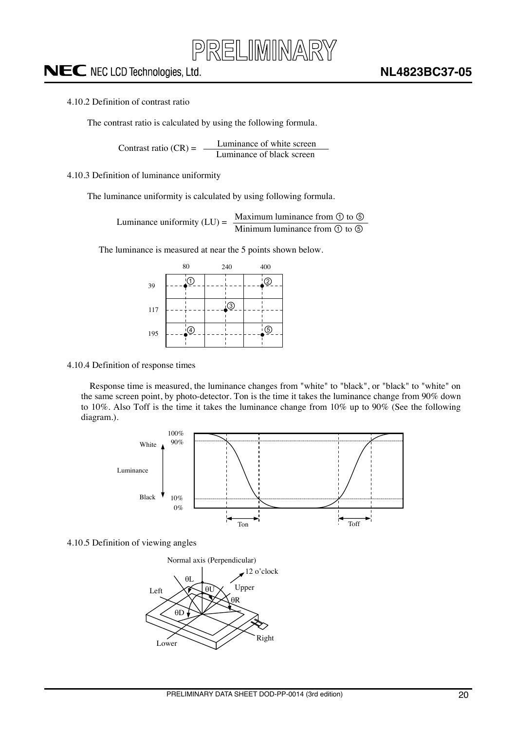#### <span id="page-19-0"></span>4.10.2 Definition of contrast ratio

The contrast ratio is calculated by using the following formula.

Luminance of white screen Contrast ratio  $(CR) = \frac{L}{L}$  Luminance of black screen

<span id="page-19-1"></span>4.10.3 Definition of luminance uniformity

The luminance uniformity is calculated by using following formula.

Maximum luminance from  $\textcircled{1}$  to  $\textcircled{5}$ Luminance uniformity  $(LU) = \frac{Maxm<sub>1</sub>}{Minimum$  luminance from  $\odot$  to  $\odot$ 

The luminance is measured at near the 5 points shown below.

|     | 80  | 240     | 400         |  |  |
|-----|-----|---------|-------------|--|--|
| 39  | .1. |         | $\cdot$ Q   |  |  |
| 117 |     | $\odot$ |             |  |  |
| 195 | 4.  |         | $\circledS$ |  |  |

#### <span id="page-19-2"></span>4.10.4 Definition of response times

Response time is measured, the luminance changes from "white" to "black", or "black" to "white" on the same screen point, by photo-detector. Ton is the time it takes the luminance change from 90% down to 10%. Also Toff is the time it takes the luminance change from 10% up to 90% (See the following diagram.).



### <span id="page-19-3"></span>4.10.5 Definition of viewing angles

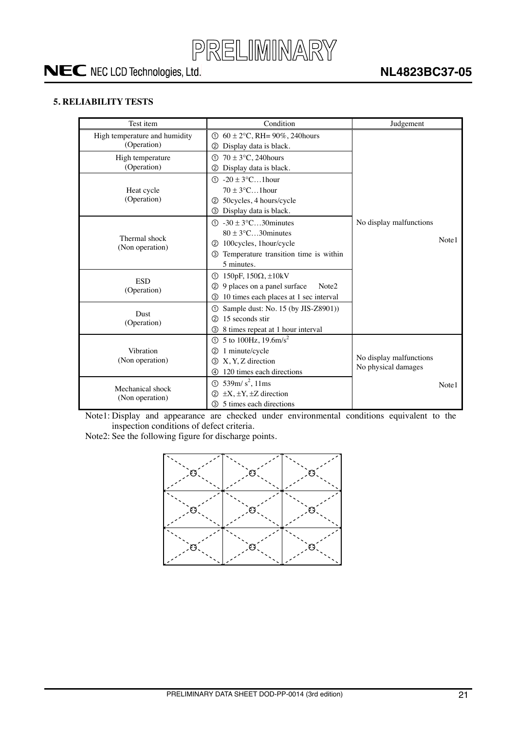

### <span id="page-20-0"></span>**5. RELIABILITY TESTS**

| Test item                     | Condition                                             | Judgement                                      |
|-------------------------------|-------------------------------------------------------|------------------------------------------------|
| High temperature and humidity | ① $60 \pm 2^{\circ}$ C, RH= 90%, 240 hours            |                                                |
| (Operation)                   | Display data is black.<br>$\circled{2}$               |                                                |
| High temperature              | $70 \pm 3$ °C, 240 hours<br>ന                         |                                                |
| (Operation)                   | Display data is black.<br>(2)                         |                                                |
|                               | $-20 \pm 3$ °C1 hour<br>⋒                             |                                                |
| Heat cycle                    | $70 \pm 3$ °C1 hour                                   |                                                |
| (Operation)                   | 50cycles, 4 hours/cycle<br>②                          |                                                |
|                               | Display data is black.<br>③                           |                                                |
|                               | ന<br>$-30 \pm 3$ °C30 minutes                         | No display malfunctions                        |
| Thermal shock                 | $80 \pm 3$ °C30 minutes                               |                                                |
| (Non operation)               | 100cycles, 1hour/cycle<br>(2)                         | Note1                                          |
|                               | Temperature transition time is within<br>③            |                                                |
|                               | 5 minutes.                                            |                                                |
| <b>ESD</b>                    | 150pF, $150\Omega$ , $\pm 10kV$<br>ന                  |                                                |
| (Operation)                   | 9 places on a panel surface<br>Note <sub>2</sub><br>② |                                                |
|                               | 10 times each places at 1 sec interval<br>③           |                                                |
| <b>Dust</b>                   | Sample dust: No. 15 (by JIS-Z8901))<br>➀              |                                                |
| (Operation)                   | 15 seconds stir<br>$\circled{2}$                      |                                                |
|                               | 8 times repeat at 1 hour interval<br>③                |                                                |
|                               | 5 to 100Hz, $19.6 \text{m/s}^2$<br>൱                  |                                                |
| Vibration                     | 1 minute/cycle<br>②                                   |                                                |
| (Non operation)               | X, Y, Z direction<br>③                                | No display malfunctions<br>No physical damages |
|                               | 120 times each directions<br>A)                       |                                                |
| Mechanical shock              | 539m/ $s^2$ , 11ms<br>➀                               | Note1                                          |
| (Non operation)               | $\pm X$ , $\pm Y$ , $\pm Z$ direction<br>②            |                                                |
|                               | 5 times each directions<br>③                          |                                                |

Note1: Display and appearance are checked under environmental conditions equivalent to the inspection conditions of defect criteria.

Note2: See the following figure for discharge points.

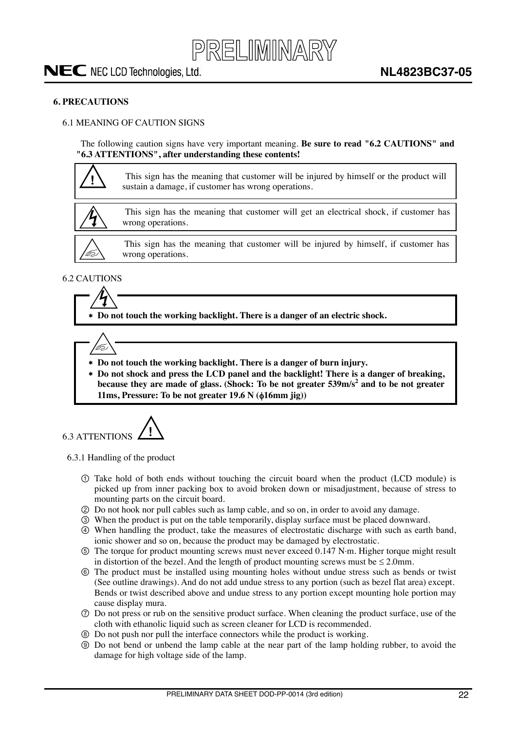

#### <span id="page-21-0"></span>**6. PRECAUTIONS**

### <span id="page-21-1"></span>6.1 MEANING OF CAUTION SIGNS

The following caution signs have very important meaning. **Be sure to read "6.2 CAUTIONS" and "6.3 ATTENTIONS", after understanding these contents!** 

**!** This sign has the meaning that customer will be injured by himself or the product will sustain a damage, if customer has wrong operations.



This sign has the meaning that customer will get an electrical shock, if customer has wrong operations.

This sign has the meaning that customer will be injured by himself, if customer has wrong operations.

### <span id="page-21-2"></span>6.2 CAUTIONS

 **Do not touch the working backlight. There is a danger of an electric shock.** 

l tõ

- **Do not touch the working backlight. There is a danger of burn injury.**
- **Do not shock and press the LCD panel and the backlight! There is a danger of breaking, because they are made of glass. (Shock: To be not greater 539m/s<sup>2</sup> and to be not greater 11ms, Pressure: To be not greater 19.6 N (**I**16mm jig))**

<span id="page-21-3"></span>6.3 ATTENTIONS **!**

<span id="page-21-4"></span>6.3.1 Handling of the product

- Take hold of both ends without touching the circuit board when the product (LCD module) is picked up from inner packing box to avoid broken down or misadjustment, because of stress to mounting parts on the circuit board.
- ཱ Do not hook nor pull cables such as lamp cable, and so on, in order to avoid any damage.
- ི When the product is put on the table temporarily, display surface must be placed downward.
- ཱི When handling the product, take the measures of electrostatic discharge with such as earth band, ionic shower and so on, because the product may be damaged by electrostatic.
- ུ The torque for product mounting screws must never exceed 0.147 Nm. Higher torque might result in distortion of the bezel. And the length of product mounting screws must be  $\leq 2.0$ mm.
- ཱུ The product must be installed using mounting holes without undue stress such as bends or twist (See outline drawings). And do not add undue stress to any portion (such as bezel flat area) except. Bends or twist described above and undue stress to any portion except mounting hole portion may cause display mura.
- ྲྀ Do not press or rub on the sensitive product surface. When cleaning the product surface, use of the cloth with ethanolic liquid such as screen cleaner for LCD is recommended.
- ཷ Do not push nor pull the interface connectors while the product is working.
- ླྀ Do not bend or unbend the lamp cable at the near part of the lamp holding rubber, to avoid the damage for high voltage side of the lamp.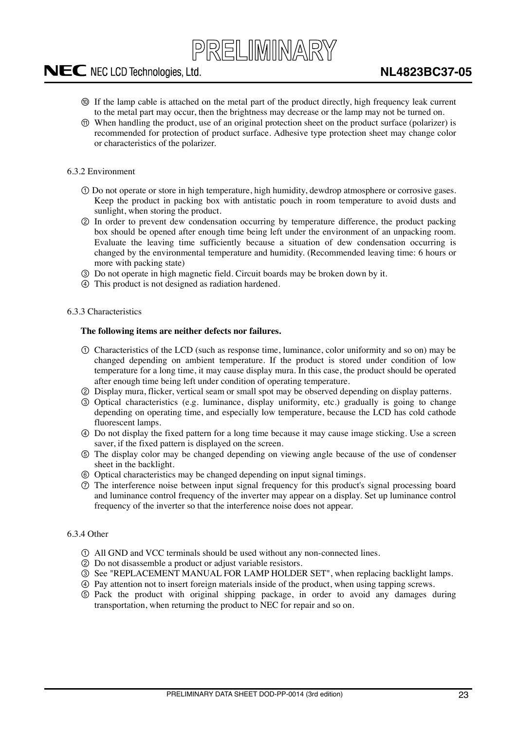

- ཹ If the lamp cable is attached on the metal part of the product directly, high frequency leak current to the metal part may occur, then the brightness may decrease or the lamp may not be turned on.
- ེ When handling the product, use of an original protection sheet on the product surface (polarizer) is recommended for protection of product surface. Adhesive type protection sheet may change color or characteristics of the polarizer.

### <span id="page-22-0"></span>6.3.2 Environment

- Do not operate or store in high temperature, high humidity, dewdrop atmosphere or corrosive gases. Keep the product in packing box with antistatic pouch in room temperature to avoid dusts and sunlight, when storing the product.
- ཱ In order to prevent dew condensation occurring by temperature difference, the product packing box should be opened after enough time being left under the environment of an unpacking room. Evaluate the leaving time sufficiently because a situation of dew condensation occurring is changed by the environmental temperature and humidity. (Recommended leaving time: 6 hours or more with packing state)
- ི Do not operate in high magnetic field. Circuit boards may be broken down by it.
- ཱི This product is not designed as radiation hardened.

#### <span id="page-22-1"></span>6.3.3 Characteristics

#### **The following items are neither defects nor failures.**

- Characteristics of the LCD (such as response time, luminance, color uniformity and so on) may be changed depending on ambient temperature. If the product is stored under condition of low temperature for a long time, it may cause display mura. In this case, the product should be operated after enough time being left under condition of operating temperature.
- ཱ Display mura, flicker, vertical seam or small spot may be observed depending on display patterns.
- ི Optical characteristics (e.g. luminance, display uniformity, etc.) gradually is going to change depending on operating time, and especially low temperature, because the LCD has cold cathode fluorescent lamps.
- ཱི Do not display the fixed pattern for a long time because it may cause image sticking. Use a screen saver, if the fixed pattern is displayed on the screen.
- ུ The display color may be changed depending on viewing angle because of the use of condenser sheet in the backlight.
- ཱུ Optical characteristics may be changed depending on input signal timings.
- ྲྀ The interference noise between input signal frequency for this product's signal processing board and luminance control frequency of the inverter may appear on a display. Set up luminance control frequency of the inverter so that the interference noise does not appear.

#### <span id="page-22-2"></span>6.3.4 Other

- All GND and VCC terminals should be used without any non-connected lines.
- ཱ Do not disassemble a product or adjust variable resistors.
- ི See "REPLACEMENT MANUAL FOR LAMP HOLDER SET", when replacing backlight lamps.
- ཱི Pay attention not to insert foreign materials inside of the product, when using tapping screws.
- ུ Pack the product with original shipping package, in order to avoid any damages during transportation, when returning the product to NEC for repair and so on.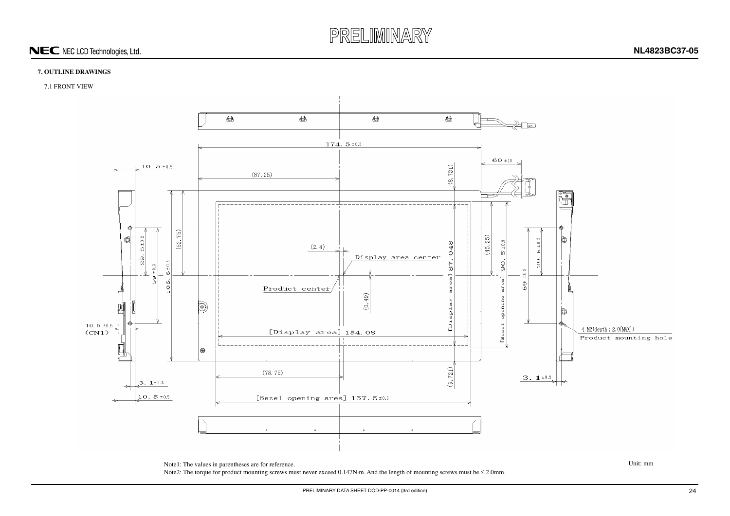

### <span id="page-23-1"></span><span id="page-23-0"></span>**7. OUTLINE DRAWINGS**

### 7.1 FRONT VIEW



Note1: The values in parentheses are for reference. Unit: mm

Note2: The torque for product mounting screws must never exceed 0.147N·m. And the length of mounting screws must be  $\leq 2.0$ mm.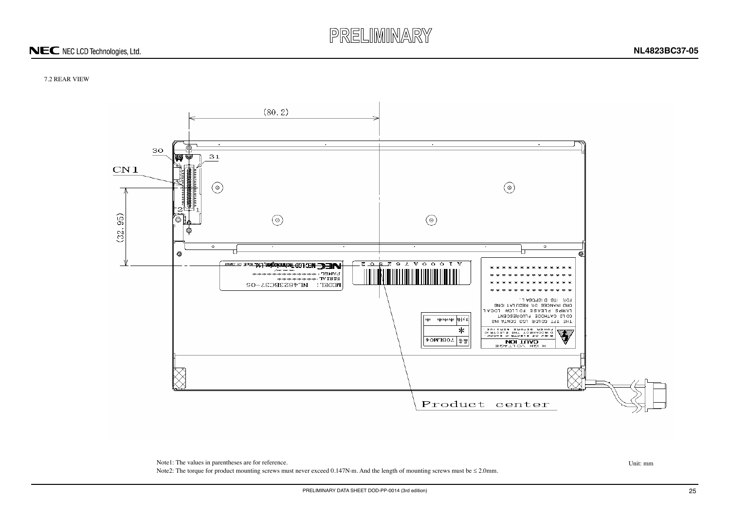### <span id="page-24-0"></span>7.2 REAR VIEW



Note1: The values in parentheses are for reference. Unit: mm Note2: The torque for product mounting screws must never exceed  $0.147N \cdot m$ . And the length of mounting screws must be  $\leq 2.0$ mm.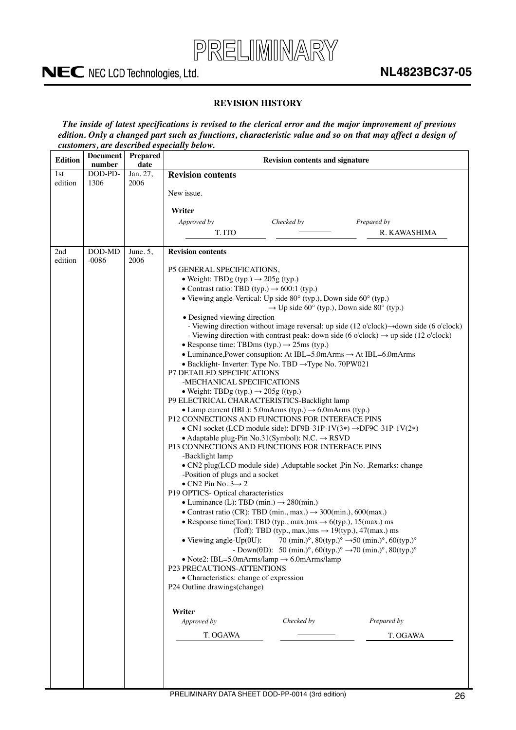

L,

### **NL4823BC37-05**

### <span id="page-25-0"></span>**REVISION HISTORY**

*The inside of latest specifications is revised to the clerical error and the major improvement of previous edition. Only a changed part such as functions, characteristic value and so on that may affect a design of customers, are described especially below.*

| <b>Edition</b> | <b>Document</b><br>number | <b>Prepared</b><br>date | <b>Revision contents and signature</b>                                                                                                                                                                                                                     |  |  |  |  |
|----------------|---------------------------|-------------------------|------------------------------------------------------------------------------------------------------------------------------------------------------------------------------------------------------------------------------------------------------------|--|--|--|--|
| 1st            | DOD-PD-                   | Jan. 27,                | <b>Revision contents</b>                                                                                                                                                                                                                                   |  |  |  |  |
| edition        | 1306                      | 2006                    | New issue.                                                                                                                                                                                                                                                 |  |  |  |  |
|                |                           |                         |                                                                                                                                                                                                                                                            |  |  |  |  |
|                |                           |                         | Writer                                                                                                                                                                                                                                                     |  |  |  |  |
|                |                           |                         | Approved by<br>Checked by<br>Prepared by<br>T. ITO<br>R. KAWASHIMA                                                                                                                                                                                         |  |  |  |  |
|                |                           |                         |                                                                                                                                                                                                                                                            |  |  |  |  |
| 2nd<br>edition | DOD-MD<br>$-0086$         | June. 5,<br>2006        | <b>Revision contents</b><br>P5 GENERAL SPECIFICATIONS,                                                                                                                                                                                                     |  |  |  |  |
|                |                           |                         | • Weight: TBDg (typ.) $\rightarrow$ 205g (typ.)<br>• Contrast ratio: TBD (typ.) $\rightarrow$ 600:1 (typ.)                                                                                                                                                 |  |  |  |  |
|                |                           |                         | • Viewing angle-Vertical: Up side $80^{\circ}$ (typ.), Down side $60^{\circ}$ (typ.)                                                                                                                                                                       |  |  |  |  |
|                |                           |                         | $\rightarrow$ Up side 60° (typ.), Down side 80° (typ.)                                                                                                                                                                                                     |  |  |  |  |
|                |                           |                         | • Designed viewing direction<br>- Viewing direction without image reversal: up side $(12 \text{ o'clock}) \rightarrow$ down side $(6 \text{ o'clock})$<br>- Viewing direction with contrast peak: down side (6 o'clock) $\rightarrow$ up side (12 o'clock) |  |  |  |  |
|                |                           |                         | • Response time: TBDms (typ.) $\rightarrow$ 25ms (typ.)                                                                                                                                                                                                    |  |  |  |  |
|                |                           |                         | • Luminance, Power consuption: At IBL=5.0mArms $\rightarrow$ At IBL=6.0mArms<br>• Backlight- Inverter: Type No. TBD ->Type No. 70PW021                                                                                                                     |  |  |  |  |
|                |                           |                         | P7 DETAILED SPECIFICATIONS                                                                                                                                                                                                                                 |  |  |  |  |
|                |                           |                         | -MECHANICAL SPECIFICATIONS                                                                                                                                                                                                                                 |  |  |  |  |
|                |                           |                         | • Weight: TBDg (typ.) $\rightarrow$ 205g ((typ.)<br>P9 ELECTRICAL CHARACTERISTICS-Backlight lamp                                                                                                                                                           |  |  |  |  |
|                |                           |                         | • Lamp current (IBL): 5.0mArms (typ.) $\rightarrow$ 6.0mArms (typ.)                                                                                                                                                                                        |  |  |  |  |
|                |                           |                         | P12 CONNECTIONS AND FUNCTIONS FOR INTERFACE PINS                                                                                                                                                                                                           |  |  |  |  |
|                |                           |                         | • CN1 socket (LCD module side): DF9B-31P-1V(3*) $\rightarrow$ DF9C-31P-1V(2*)<br>$\bullet$ Adaptable plug-Pin No.31(Symbol): N.C. $\rightarrow$ RSVD                                                                                                       |  |  |  |  |
|                |                           |                         | P13 CONNECTIONS AND FUNCTIONS FOR INTERFACE PINS                                                                                                                                                                                                           |  |  |  |  |
|                |                           |                         | -Backlight lamp                                                                                                                                                                                                                                            |  |  |  |  |
|                |                           |                         | • CN2 plug(LCD module side) , Aduptable socket , Pin No. , Remarks: change                                                                                                                                                                                 |  |  |  |  |
|                |                           |                         | -Position of plugs and a socket<br>• CN2 Pin No.:3 $\rightarrow$ 2                                                                                                                                                                                         |  |  |  |  |
|                |                           |                         | P19 OPTICS- Optical characteristics                                                                                                                                                                                                                        |  |  |  |  |
|                |                           |                         | • Luminance (L): TBD (min.) $\rightarrow$ 280(min.)                                                                                                                                                                                                        |  |  |  |  |
|                |                           |                         | • Contrast ratio (CR): TBD (min., max.) $\rightarrow$ 300(min.), 600(max.)<br>• Response time(Ton): TBD (typ., max.)ms $\rightarrow$ 6(typ.), 15(max.) ms                                                                                                  |  |  |  |  |
|                |                           |                         | (Toff): TBD (typ., max.)ms $\rightarrow$ 19(typ.), 47(max.) ms                                                                                                                                                                                             |  |  |  |  |
|                |                           |                         | • Viewing angle-Up( $\theta$ U): 70 (min.)°, 80(typ.)° $\rightarrow$ 50 (min.)°, 60(typ.)°                                                                                                                                                                 |  |  |  |  |
|                |                           |                         | - Down( $\theta$ D): 50 (min.)°, 60(typ.)° $\rightarrow$ 70 (min.)°, 80(typ.)°<br>• Note2: IBL=5.0mArms/lamp $\rightarrow$ 6.0mArms/lamp                                                                                                                   |  |  |  |  |
|                |                           |                         | P23 PRECAUTIONS-ATTENTIONS                                                                                                                                                                                                                                 |  |  |  |  |
|                |                           |                         | • Characteristics: change of expression                                                                                                                                                                                                                    |  |  |  |  |
|                |                           |                         | P24 Outline drawings(change)                                                                                                                                                                                                                               |  |  |  |  |
|                |                           |                         | Writer                                                                                                                                                                                                                                                     |  |  |  |  |
|                |                           |                         | Checked by<br>Prepared by<br>Approved by                                                                                                                                                                                                                   |  |  |  |  |
|                |                           |                         | T. OGAWA<br>T. OGAWA                                                                                                                                                                                                                                       |  |  |  |  |
|                |                           |                         |                                                                                                                                                                                                                                                            |  |  |  |  |
|                |                           |                         |                                                                                                                                                                                                                                                            |  |  |  |  |
|                |                           |                         |                                                                                                                                                                                                                                                            |  |  |  |  |
|                |                           |                         |                                                                                                                                                                                                                                                            |  |  |  |  |